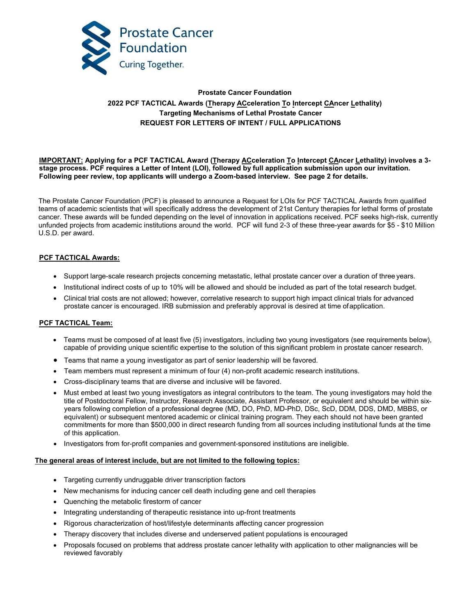

# **Prostate Cancer Foundation 2022 PCF TACTICAL Awards (Therapy ACceleration To Intercept CAncer Lethality) Targeting Mechanisms of Lethal Prostate Cancer REQUEST FOR LETTERS OF INTENT / FULL APPLICATIONS**

## **IMPORTANT: Applying for a PCF TACTICAL Award (Therapy ACceleration To Intercept CAncer Lethality) involves a 3 stage process. PCF requires a Letter of Intent (LOI), followed by full application submission upon our invitation. Following peer review, top applicants will undergo a Zoom-based interview. See page 2 for details.**

The Prostate Cancer Foundation (PCF) is pleased to announce a Request for LOIs for PCF TACTICAL Awards from qualified teams of academic scientists that will specifically address the development of 21st Century therapies for lethal forms of prostate cancer. These awards will be funded depending on the level of innovation in applications received. PCF seeks high-risk, currently unfunded projects from academic institutions around the world. PCF will fund 2-3 of these three-year awards for \$5 - \$10 Million U.S.D. per award.

# **PCF TACTICAL Awards:**

- Support large-scale research projects concerning metastatic, lethal prostate cancer over a duration of three years.
- Institutional indirect costs of up to 10% will be allowed and should be included as part of the total research budget.
- Clinical trial costs are not allowed; however, correlative research to support high impact clinical trials for advanced prostate cancer is encouraged. IRB submission and preferably approval is desired at time ofapplication.

## **PCF TACTICAL Team:**

- Teams must be composed of at least five (5) investigators, including two young investigators (see requirements below), capable of providing unique scientific expertise to the solution of this significant problem in prostate cancer research.
- Teams that name a young investigator as part of senior leadership will be favored.
- Team members must represent a minimum of four (4) non-profit academic research institutions.
- Cross-disciplinary teams that are diverse and inclusive will be favored.
- Must embed at least two young investigators as integral contributors to the team. The young investigators may hold the title of Postdoctoral Fellow, Instructor, Research Associate, Assistant Professor, or equivalent and should be within sixyears following completion of a professional degree (MD, DO, PhD, MD-PhD, DSc, ScD, DDM, DDS, DMD, MBBS, or equivalent) or subsequent mentored academic or clinical training program. They each should not have been granted commitments for more than \$500,000 in direct research funding from all sources including institutional funds at the time of this application.
- Investigators from for-profit companies and government-sponsored institutions are ineligible.

#### **The general areas of interest include, but are not limited to the following topics:**

- Targeting currently undruggable driver transcription factors
- New mechanisms for inducing cancer cell death including gene and cell therapies
- Quenching the metabolic firestorm of cancer
- Integrating understanding of therapeutic resistance into up-front treatments
- Rigorous characterization of host/lifestyle determinants affecting cancer progression
- Therapy discovery that includes diverse and underserved patient populations is encouraged
- Proposals focused on problems that address prostate cancer lethality with application to other malignancies will be reviewed favorably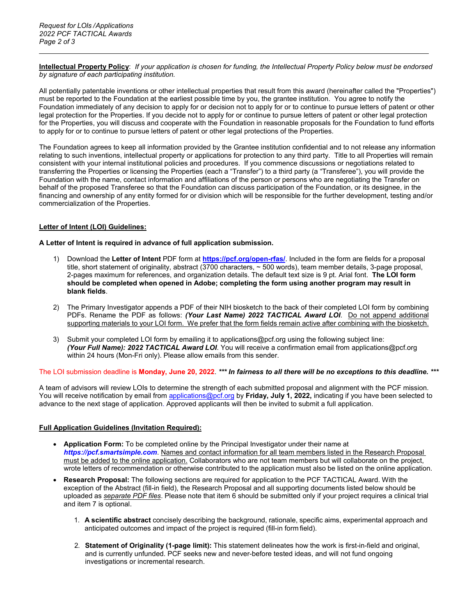**Intellectual Property Policy**: *If your application is chosen for funding, the Intellectual Property Policy below must be endorsed by signature of each participating institution.*

All potentially patentable inventions or other intellectual properties that result from this award (hereinafter called the "Properties") must be reported to the Foundation at the earliest possible time by you, the grantee institution. You agree to notify the Foundation immediately of any decision to apply for or decision not to apply for or to continue to pursue letters of patent or other legal protection for the Properties. If you decide not to apply for or continue to pursue letters of patent or other legal protection for the Properties, you will discuss and cooperate with the Foundation in reasonable proposals for the Foundation to fund efforts to apply for or to continue to pursue letters of patent or other legal protections of the Properties.

The Foundation agrees to keep all information provided by the Grantee institution confidential and to not release any information relating to such inventions, intellectual property or applications for protection to any third party. Title to all Properties will remain consistent with your internal institutional policies and procedures. If you commence discussions or negotiations related to transferring the Properties or licensing the Properties (each a "Transfer") to a third party (a "Transferee"), you will provide the Foundation with the name, contact information and affiliations of the person or persons who are negotiating the Transfer on behalf of the proposed Transferee so that the Foundation can discuss participation of the Foundation, or its designee, in the financing and ownership of any entity formed for or division which will be responsible for the further development, testing and/or commercialization of the Properties.

# **Letter of Intent (LOI) Guidelines:**

## **A Letter of Intent is required in advance of full application submission.**

- 1) Download the **Letter of Intent** PDF form at **<https://pcf.org/open-rfas/>**. Included in the form are fields for a proposal title, short statement of originality, abstract (3700 characters, ~ 500 words), team member details, 3-page proposal, 2-pages maximum for references, and organization details. The default text size is 9 pt. Arial font. **The LOI form should be completed when opened in Adobe; completing the form using another program may result in blank fields**.
- 2) The Primary Investigator appends a PDF of their NIH biosketch to the back of their completed LOI form by combining PDFs. Rename the PDF as follows: *(Your Last Name)* 2022 TACTICAL Award LOI. Do not append additional supporting materials to your LOI form. We prefer that the form fields remain active after combining with the biosketch.
- 3) Submit your completed LOI form by emailing it t[o applications@pcf.org u](mailto:applications@pcf.org)sing the following subject line: *(Your Full Name): 2022 TACTICAL Award LOI*. You will receive a confirmation email from [applications@pcf.org](mailto:applications@pcf.org)  within 24 hours (Mon-Fri only). Please allow emails from this sender.

## The LOI submission deadline is **Monday, June 20, 2022**. *\*\*\* In fairness to all there will be no exceptions to this deadline. \*\*\**

A team of advisors will review LOIs to determine the strength of each submitted proposal and alignment with the PCF mission. You will receive notification by email from [applications@pcf.org](mailto:applications@pcf.org) by **Friday, July 1, 2022,** indicating if you have been selected to advance to the next stage of application. Approved applicants will then be invited to submit a full application.

## **Full Application Guidelines (Invitation Required):**

- **Application Form:** To be completed online by the Principal Investigator under their name at *[https://pcf.smartsimple.com](https://pcf.smartsimple.com/)*. Names and contact information for all team members listed in the Research Proposal must be added to the online application. Collaborators who are not team members but will collaborate on the project, wrote letters of recommendation or otherwise contributed to the application must also be listed on the online application.
- **Research Proposal:** The following sections are required for application to the PCF TACTICAL Award. With the exception of the Abstract (fill-in field), the Research Proposal and all supporting documents listed below should be uploaded as *separate PDF files*. Please note that item 6 should be submitted only if your project requires a clinical trial and item 7 is optional.
	- 1. **A scientific abstract** concisely describing the background, rationale, specific aims, experimental approach and anticipated outcomes and impact of the project is required (fill-in form field).
	- 2. **Statement of Originality (1-page limit):** This statement delineates how the work is first-in-field and original, and is currently unfunded. PCF seeks new and never-before tested ideas, and will not fund ongoing investigations or incremental research.